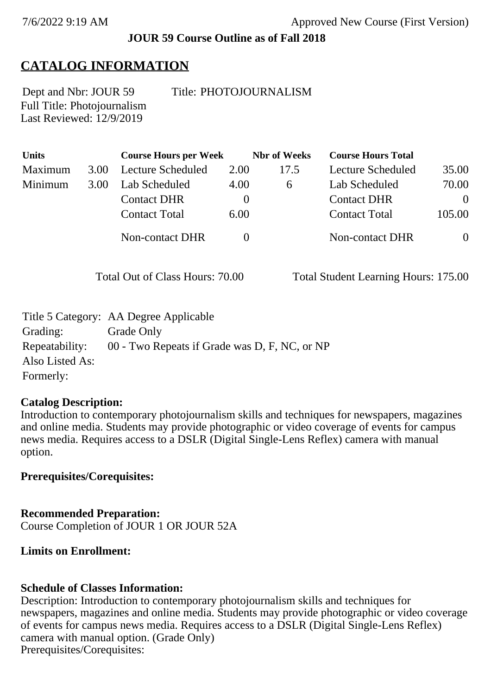#### **JOUR 59 Course Outline as of Fall 2018**

# **CATALOG INFORMATION**

Full Title: Photojournalism Last Reviewed: 12/9/2019

Dept and Nbr: JOUR 59 Title: PHOTOJOURNALISM

| Units   |      | <b>Course Hours per Week</b> |          | <b>Nbr</b> of Weeks | <b>Course Hours Total</b> |          |
|---------|------|------------------------------|----------|---------------------|---------------------------|----------|
| Maximum | 3.00 | Lecture Scheduled            | 2.00     | 17.5                | Lecture Scheduled         | 35.00    |
| Minimum | 3.00 | Lab Scheduled                | 4.00     | 6                   | Lab Scheduled             | 70.00    |
|         |      | <b>Contact DHR</b>           | $\theta$ |                     | <b>Contact DHR</b>        | $\theta$ |
|         |      | <b>Contact Total</b>         | 6.00     |                     | <b>Contact Total</b>      | 105.00   |
|         |      | Non-contact DHR              |          |                     | Non-contact DHR           |          |

Total Out of Class Hours: 70.00 Total Student Learning Hours: 175.00

|                 | Title 5 Category: AA Degree Applicable        |
|-----------------|-----------------------------------------------|
| Grading:        | Grade Only                                    |
| Repeatability:  | 00 - Two Repeats if Grade was D, F, NC, or NP |
| Also Listed As: |                                               |
| Formerly:       |                                               |

## **Catalog Description:**

Introduction to contemporary photojournalism skills and techniques for newspapers, magazines and online media. Students may provide photographic or video coverage of events for campus news media. Requires access to a DSLR (Digital Single-Lens Reflex) camera with manual option.

## **Prerequisites/Corequisites:**

**Recommended Preparation:** Course Completion of JOUR 1 OR JOUR 52A

## **Limits on Enrollment:**

## **Schedule of Classes Information:**

Description: Introduction to contemporary photojournalism skills and techniques for newspapers, magazines and online media. Students may provide photographic or video coverage of events for campus news media. Requires access to a DSLR (Digital Single-Lens Reflex) camera with manual option. (Grade Only) Prerequisites/Corequisites: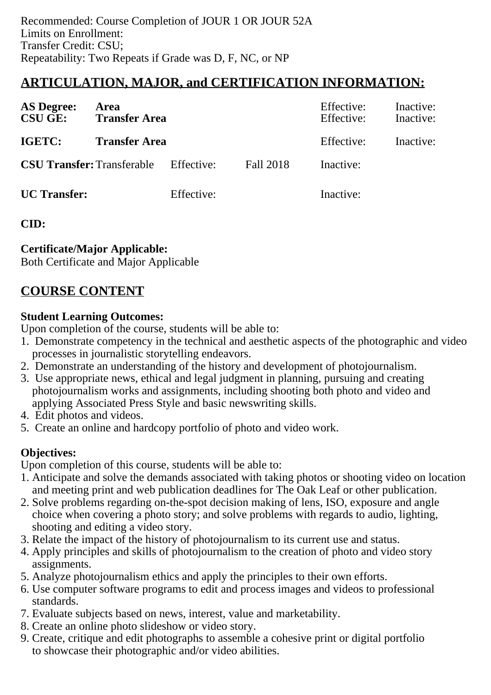# **ARTICULATION, MAJOR, and CERTIFICATION INFORMATION:**

| <b>AS Degree:</b><br><b>CSU GE:</b> | Area<br><b>Transfer Area</b> |            |                  | Effective:<br>Effective: | Inactive:<br>Inactive: |
|-------------------------------------|------------------------------|------------|------------------|--------------------------|------------------------|
| IGETC:                              | <b>Transfer Area</b>         |            |                  | Effective:               | Inactive:              |
| <b>CSU Transfer:</b> Transferable   |                              | Effective: | <b>Fall 2018</b> | Inactive:                |                        |
| <b>UC</b> Transfer:                 |                              | Effective: |                  | Inactive:                |                        |

**CID:**

## **Certificate/Major Applicable:**

[Both Certificate and Major Applicable](SR_ClassCheck.aspx?CourseKey=JOUR59)

# **COURSE CONTENT**

## **Student Learning Outcomes:**

Upon completion of the course, students will be able to:

- 1. Demonstrate competency in the technical and aesthetic aspects of the photographic and video processes in journalistic storytelling endeavors.
- 2. Demonstrate an understanding of the history and development of photojournalism.
- 3. Use appropriate news, ethical and legal judgment in planning, pursuing and creating photojournalism works and assignments, including shooting both photo and video and applying Associated Press Style and basic newswriting skills.
- 4. Edit photos and videos.
- 5. Create an online and hardcopy portfolio of photo and video work.

# **Objectives:**

Upon completion of this course, students will be able to:

- 1. Anticipate and solve the demands associated with taking photos or shooting video on location and meeting print and web publication deadlines for The Oak Leaf or other publication.
- 2. Solve problems regarding on-the-spot decision making of lens, ISO, exposure and angle choice when covering a photo story; and solve problems with regards to audio, lighting, shooting and editing a video story.
- 3. Relate the impact of the history of photojournalism to its current use and status.
- 4. Apply principles and skills of photojournalism to the creation of photo and video story assignments.
- 5. Analyze photojournalism ethics and apply the principles to their own efforts.
- 6. Use computer software programs to edit and process images and videos to professional standards.
- 7. Evaluate subjects based on news, interest, value and marketability.
- 8. Create an online photo slideshow or video story.
- 9. Create, critique and edit photographs to assemble a cohesive print or digital portfolio to showcase their photographic and/or video abilities.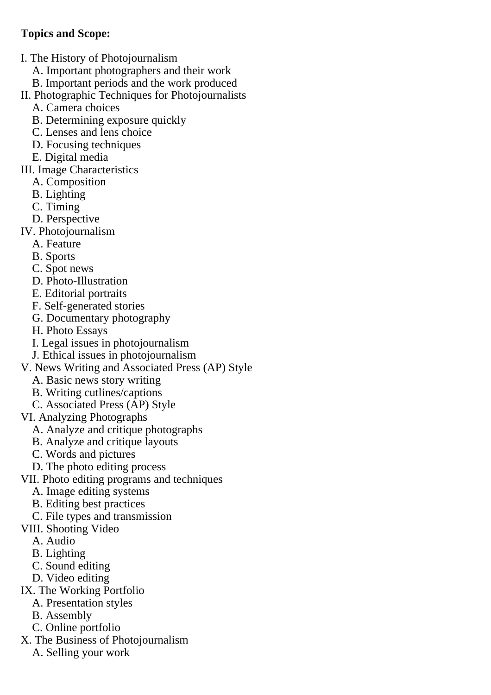## **Topics and Scope:**

- I. The History of Photojournalism
	- A. Important photographers and their work
	- B. Important periods and the work produced
- II. Photographic Techniques for Photojournalists
	- A. Camera choices
	- B. Determining exposure quickly
	- C. Lenses and lens choice
	- D. Focusing techniques
	- E. Digital media
- III. Image Characteristics
	- A. Composition
	- B. Lighting
	- C. Timing
	- D. Perspective
- IV. Photojournalism
	- A. Feature
	- B. Sports
	- C. Spot news
	- D. Photo-Illustration
	- E. Editorial portraits
	- F. Self-generated stories
	- G. Documentary photography
	- H. Photo Essays
	- I. Legal issues in photojournalism
	- J. Ethical issues in photojournalism
- V. News Writing and Associated Press (AP) Style
	- A. Basic news story writing
	- B. Writing cutlines/captions
	- C. Associated Press (AP) Style
- VI. Analyzing Photographs
	- A. Analyze and critique photographs
	- B. Analyze and critique layouts
	- C. Words and pictures
	- D. The photo editing process
- VII. Photo editing programs and techniques
	- A. Image editing systems
	- B. Editing best practices
	- C. File types and transmission
- VIII. Shooting Video
	- A. Audio
	- B. Lighting
	- C. Sound editing
	- D. Video editing
- IX. The Working Portfolio
	- A. Presentation styles
		- B. Assembly
	- C. Online portfolio
- X. The Business of Photojournalism
	- A. Selling your work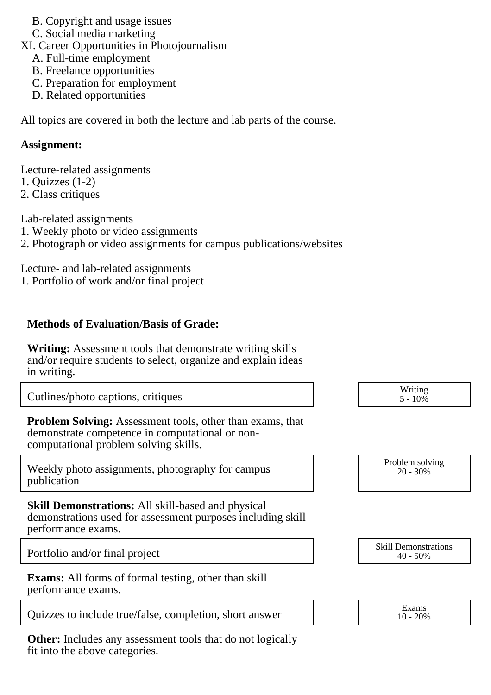B. Copyright and usage issues

C. Social media marketing

XI. Career Opportunities in Photojournalism

- A. Full-time employment
- B. Freelance opportunities
- C. Preparation for employment
- D. Related opportunities

All topics are covered in both the lecture and lab parts of the course.

## **Assignment:**

Lecture-related assignments 1. Quizzes (1-2)

2. Class critiques

Lab-related assignments

- 1. Weekly photo or video assignments
- 2. Photograph or video assignments for campus publications/websites

Lecture- and lab-related assignments

1. Portfolio of work and/or final project

# **Methods of Evaluation/Basis of Grade:**

**Writing:** Assessment tools that demonstrate writing skills and/or require students to select, organize and explain ideas in writing.

Cutlines/photo captions, critiques

**Problem Solving:** Assessment tools, other than exams, that demonstrate competence in computational or noncomputational problem solving skills.

Weekly photo assignments, photography for campus publication

**Skill Demonstrations:** All skill-based and physical demonstrations used for assessment purposes including skill performance exams.

Portfolio and/or final project

**Exams:** All forms of formal testing, other than skill performance exams.

Quizzes to include true/false, completion, short answer  $\begin{array}{ccc} \text{Exams} \\ \text{10 - 20\%} \end{array}$ 

**Other:** Includes any assessment tools that do not logically fit into the above categories.

| Writing |  |
|---------|--|
| 5 - 10% |  |

| Problem solving |  |
|-----------------|--|
| $20 - 30\%$     |  |
|                 |  |

| <b>Skill Demonstrations</b> |  |
|-----------------------------|--|
| $40 - 50\%$                 |  |